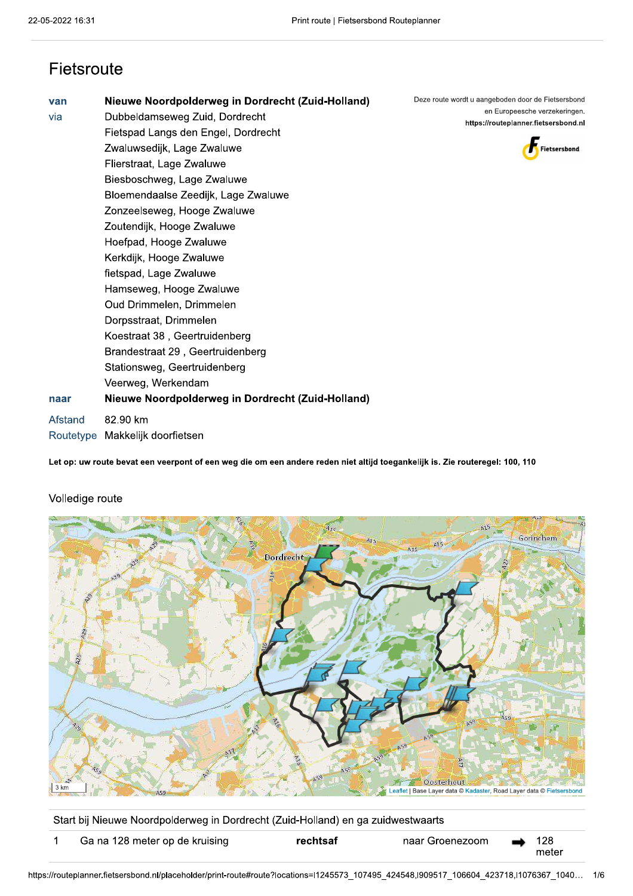## Fietsroute

| van     | Nieuwe Noordpolderweg in Dordrecht (Zuid-Holland) | Deze route wordt u aangeboden door de Fietsersbond<br>en Europeesche verzekeringen. |
|---------|---------------------------------------------------|-------------------------------------------------------------------------------------|
| via     | Dubbeldamseweg Zuid, Dordrecht                    | https://routeplanner.fietsersbond.nl                                                |
|         | Fietspad Langs den Engel, Dordrecht               |                                                                                     |
|         | Zwaluwsedijk, Lage Zwaluwe                        | Fietsersbond                                                                        |
|         | Flierstraat, Lage Zwaluwe                         |                                                                                     |
|         | Biesboschweg, Lage Zwaluwe                        |                                                                                     |
|         | Bloemendaalse Zeedijk, Lage Zwaluwe               |                                                                                     |
|         | Zonzeelseweg, Hooge Zwaluwe                       |                                                                                     |
|         | Zoutendijk, Hooge Zwaluwe                         |                                                                                     |
|         | Hoefpad, Hooge Zwaluwe                            |                                                                                     |
|         | Kerkdijk, Hooge Zwaluwe                           |                                                                                     |
|         | fietspad, Lage Zwaluwe                            |                                                                                     |
|         | Hamseweg, Hooge Zwaluwe                           |                                                                                     |
|         | Oud Drimmelen, Drimmelen                          |                                                                                     |
|         | Dorpsstraat, Drimmelen                            |                                                                                     |
|         | Koestraat 38, Geertruidenberg                     |                                                                                     |
|         | Brandestraat 29, Geertruidenberg                  |                                                                                     |
|         | Stationsweg, Geertruidenberg                      |                                                                                     |
|         | Veerweg, Werkendam                                |                                                                                     |
| naar    | Nieuwe Noordpolderweg in Dordrecht (Zuid-Holland) |                                                                                     |
| Afstand | 82.90 km                                          |                                                                                     |
|         | Routetype Makkelijk doorfietsen                   |                                                                                     |

Let op: uw route bevat een veerpont of een weg die om een andere reden niet altijd toegankelijk is. Zie routeregel: 100, 110



## Volledige route

Start bij Nieuwe Noordpolderweg in Dordrecht (Zuid-Holland) en ga zuidwestwaarts

| Ga na 128 meter op de kruising | rechtsaf | naar Groenezoom | $\rightarrow$ |       |
|--------------------------------|----------|-----------------|---------------|-------|
|                                |          |                 |               | meter |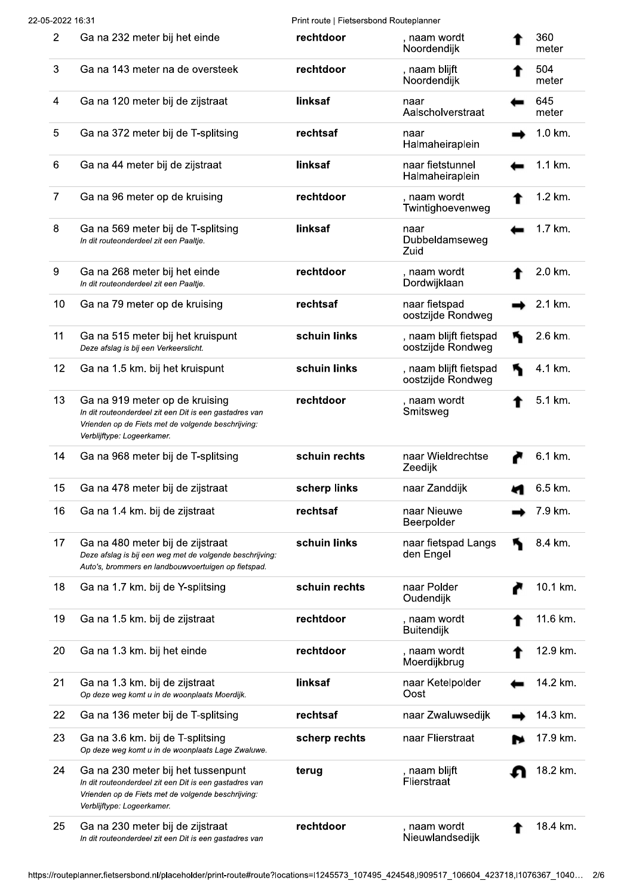Print route | Fietsersbond Routeplanner

| $\overline{2}$ | Ga na 232 meter bij het einde                                                                                                                                                    | rechtdoor     | , naam wordt<br>Noordendijk                 | 360<br>meter |
|----------------|----------------------------------------------------------------------------------------------------------------------------------------------------------------------------------|---------------|---------------------------------------------|--------------|
| 3              | Ga na 143 meter na de oversteek                                                                                                                                                  | rechtdoor     | , naam blijft<br>Noordendijk                | 504<br>meter |
| 4              | Ga na 120 meter bij de zijstraat                                                                                                                                                 | linksaf       | naar<br>Aalscholverstraat                   | 645<br>meter |
| 5              | Ga na 372 meter bij de T-splitsing                                                                                                                                               | rechtsaf      | naar<br>Halmaheiraplein                     | 1.0 km.      |
| 6              | Ga na 44 meter bij de zijstraat                                                                                                                                                  | linksaf       | naar fietstunnel<br>Halmaheiraplein         | 1.1 km.      |
| $\overline{7}$ | Ga na 96 meter op de kruising                                                                                                                                                    | rechtdoor     | , naam wordt<br>Twintighoevenweg            | 1.2 km.      |
| 8              | Ga na 569 meter bij de T-splitsing<br>In dit routeonderdeel zit een Paaltje.                                                                                                     | linksaf       | naar<br>Dubbeldamseweg<br>Zuid              | 1.7 km.      |
| 9              | Ga na 268 meter bij het einde<br>In dit routeonderdeel zit een Paaltje.                                                                                                          | rechtdoor     | , naam wordt<br>Dordwijklaan                | 2.0 km.      |
| 10             | Ga na 79 meter op de kruising                                                                                                                                                    | rechtsaf      | naar fietspad<br>oostzijde Rondweg          | 2.1 km.      |
| 11             | Ga na 515 meter bij het kruispunt<br>Deze afslag is bij een Verkeerslicht.                                                                                                       | schuin links  | , naam blijft fietspad<br>oostzijde Rondweg | 2.6 km.      |
| 12             | Ga na 1.5 km. bij het kruispunt                                                                                                                                                  | schuin links  | , naam blijft fietspad<br>oostzijde Rondweg | 4.1 km.      |
| 13             | Ga na 919 meter op de kruising<br>In dit routeonderdeel zit een Dit is een gastadres van<br>Vrienden op de Fiets met de volgende beschrijving:<br>Verblijftype: Logeerkamer      | rechtdoor     | , naam wordt<br>Smitsweg                    | 5.1 km.      |
| 14             | Ga na 968 meter bij de T-splitsing                                                                                                                                               | schuin rechts | naar Wieldrechtse<br>Zeedijk                | 6.1 km.      |
| 15             | Ga na 478 meter bij de zijstraat                                                                                                                                                 | scherp links  | naar Zanddijk                               | 6.5 km.      |
| 16             | Ga na 1.4 km. bij de zijstraat                                                                                                                                                   | rechtsaf      | naar Nieuwe<br>Beerpolder                   | 7.9 km.      |
| 17             | Ga na 480 meter bij de zijstraat<br>Deze afslag is bij een weg met de volgende beschrijving:<br>Auto's, brommers en landbouwvoertuigen op fietspad.                              | schuin links  | naar fietspad Langs<br>den Engel            | 8.4 km.      |
| 18             | Ga na 1.7 km. bij de Y-splitsing                                                                                                                                                 | schuin rechts | naar Polder<br>Oudendijk                    | 10.1 km.     |
| 19             | Ga na 1.5 km. bij de zijstraat                                                                                                                                                   | rechtdoor     | , naam wordt<br>Buitendijk                  | 11.6 km.     |
| 20             | Ga na 1.3 km. bij het einde                                                                                                                                                      | rechtdoor     | , naam wordt<br>Moerdijkbrug                | 12.9 km.     |
| 21             | Ga na 1.3 km. bij de zijstraat<br>Op deze weg komt u in de woonplaats Moerdijk.                                                                                                  | linksaf       | naar Ketelpolder<br>Oost                    | 14.2 km.     |
| 22             | Ga na 136 meter bij de T-splitsing                                                                                                                                               | rechtsaf      | naar Zwaluwsedijk                           | 14.3 km.     |
| 23             | Ga na 3.6 km. bij de T-splitsing<br>Op deze weg komt u in de woonplaats Lage Zwaluwe.                                                                                            | scherp rechts | naar Flierstraat                            | 17.9 km.     |
| 24             | Ga na 230 meter bij het tussenpunt<br>In dit routeonderdeel zit een Dit is een gastadres van<br>Vrienden op de Fiets met de volgende beschrijving:<br>Verblijftype: Logeerkamer. | terug         | , naam blijft<br>Flierstraat                | 18.2 km.     |
| 25             | Ga na 230 meter bij de zijstraat<br>In dit routeonderdeel zit een Dit is een gastadres van                                                                                       | rechtdoor     | , naam wordt<br>Nieuwlandsedijk             | 18.4 km.     |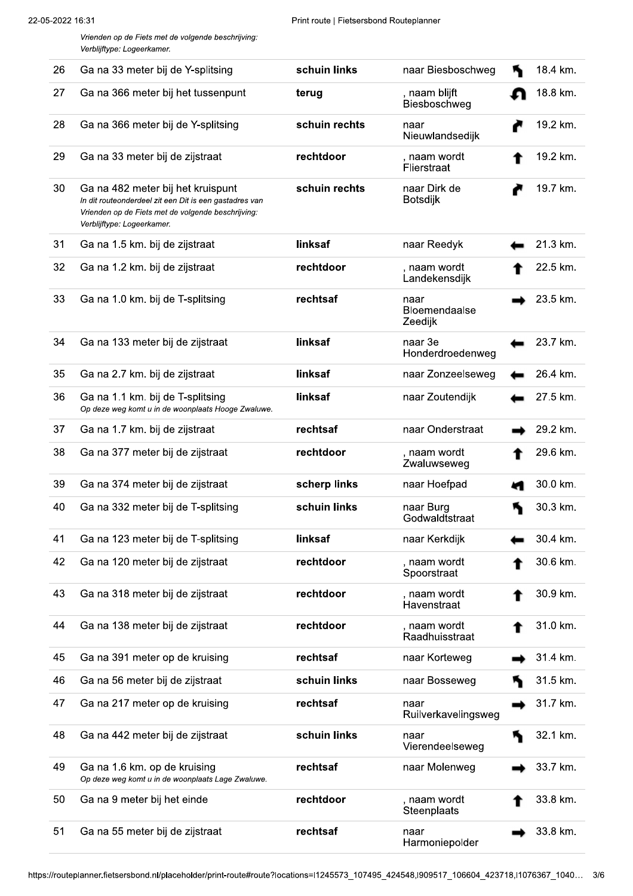Vrienden op de Fiets met de volgende beschrijving: Verblijftype: Logeerkamer.

| 26 | Ga na 33 meter bij de Y-splitsing                                                                                                                                               | schuin links  | naar Biesboschweg                | 18.4 km. |
|----|---------------------------------------------------------------------------------------------------------------------------------------------------------------------------------|---------------|----------------------------------|----------|
| 27 | Ga na 366 meter bij het tussenpunt                                                                                                                                              | terug         | , naam blijft<br>Biesboschweg    | 18.8 km. |
| 28 | Ga na 366 meter bij de Y-splitsing                                                                                                                                              | schuin rechts | naar<br>Nieuwlandsedijk          | 19.2 km. |
| 29 | Ga na 33 meter bij de zijstraat                                                                                                                                                 | rechtdoor     | , naam wordt<br>Flierstraat      | 19.2 km. |
| 30 | Ga na 482 meter bij het kruispunt<br>In dit routeonderdeel zit een Dit is een gastadres van<br>Vrienden op de Fiets met de volgende beschrijving:<br>Verblijftype: Logeerkamer. | schuin rechts | naar Dirk de<br><b>Botsdijk</b>  | 19.7 km. |
| 31 | Ga na 1.5 km. bij de zijstraat                                                                                                                                                  | linksaf       | naar Reedyk                      | 21.3 km. |
| 32 | Ga na 1.2 km. bij de zijstraat                                                                                                                                                  | rechtdoor     | , naam wordt<br>Landekensdijk    | 22.5 km. |
| 33 | Ga na 1.0 km. bij de T-splitsing                                                                                                                                                | rechtsaf      | naar<br>Bloemendaalse<br>Zeedijk | 23.5 km. |
| 34 | Ga na 133 meter bij de zijstraat                                                                                                                                                | linksaf       | naar 3e<br>Honderdroedenweg      | 23.7 km. |
| 35 | Ga na 2.7 km. bij de zijstraat                                                                                                                                                  | linksaf       | naar Zonzeelseweg                | 26.4 km. |
| 36 | Ga na 1.1 km. bij de T-splitsing<br>Op deze weg komt u in de woonplaats Hooge Zwaluwe.                                                                                          | linksaf       | naar Zoutendijk                  | 27.5 km. |
| 37 | Ga na 1.7 km. bij de zijstraat                                                                                                                                                  | rechtsaf      | naar Onderstraat                 | 29.2 km. |
| 38 | Ga na 377 meter bij de zijstraat                                                                                                                                                | rechtdoor     | , naam wordt<br>Zwaluwseweg      | 29.6 km. |
| 39 | Ga na 374 meter bij de zijstraat                                                                                                                                                | scherp links  | naar Hoefpad                     | 30.0 km. |
| 40 | Ga na 332 meter bij de T-splitsing                                                                                                                                              | schuin links  | naar Burg<br>Godwaldtstraat      | 30.3 km. |
| 41 | Ga na 123 meter bij de T-splitsing                                                                                                                                              | linksaf       | naar Kerkdijk                    | 30.4 km. |
| 42 | Ga na 120 meter bij de zijstraat                                                                                                                                                | rechtdoor     | , naam wordt<br>Spoorstraat      | 30.6 km. |
| 43 | Ga na 318 meter bij de zijstraat                                                                                                                                                | rechtdoor     | , naam wordt<br>Havenstraat      | 30.9 km. |
| 44 | Ga na 138 meter bij de zijstraat                                                                                                                                                | rechtdoor     | , naam wordt<br>Raadhuisstraat   | 31.0 km. |
| 45 | Ga na 391 meter op de kruising                                                                                                                                                  | rechtsaf      | naar Korteweg                    | 31.4 km. |
| 46 | Ga na 56 meter bij de zijstraat                                                                                                                                                 | schuin links  | naar Bosseweg                    | 31.5 km. |
| 47 | Ga na 217 meter op de kruising                                                                                                                                                  | rechtsaf      | naar<br>Ruilverkavelingsweg      | 31.7 km. |
| 48 | Ga na 442 meter bij de zijstraat                                                                                                                                                | schuin links  | naar<br>Vierendeelseweg          | 32.1 km. |
| 49 | Ga na 1.6 km. op de kruising<br>Op deze weg komt u in de woonplaats Lage Zwaluwe.                                                                                               | rechtsaf      | naar Molenweg                    | 33.7 km. |
| 50 | Ga na 9 meter bij het einde                                                                                                                                                     | rechtdoor     | , naam wordt<br>Steenplaats      | 33.8 km. |
| 51 | Ga na 55 meter bij de zijstraat                                                                                                                                                 | rechtsaf      | naar<br>Harmoniepolder           | 33.8 km. |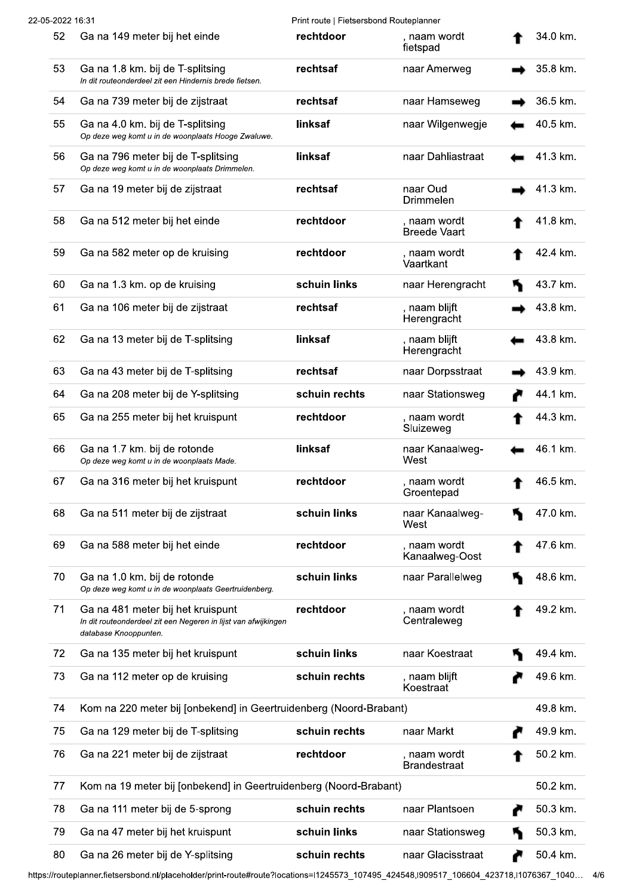| 52 | Ga na 149 meter bij het einde                                                                                                | rechtdoor     | , naam wordt<br>fietspad            | 34.0 km. |
|----|------------------------------------------------------------------------------------------------------------------------------|---------------|-------------------------------------|----------|
| 53 | Ga na 1.8 km. bij de T-splitsing<br>In dit routeonderdeel zit een Hindernis brede fietsen.                                   | rechtsaf      | naar Amerweg                        | 35.8 km. |
| 54 | Ga na 739 meter bij de zijstraat                                                                                             | rechtsaf      | naar Hamseweg                       | 36.5 km. |
| 55 | Ga na 4.0 km. bij de T-splitsing<br>Op deze weg komt u in de woonplaats Hooge Zwaluwe.                                       | linksaf       | naar Wilgenwegje                    | 40.5 km. |
| 56 | Ga na 796 meter bij de T-splitsing<br>Op deze weg komt u in de woonplaats Drimmelen.                                         | linksaf       | naar Dahliastraat                   | 41.3 km. |
| 57 | Ga na 19 meter bij de zijstraat                                                                                              | rechtsaf      | naar Oud<br><b>Drimmelen</b>        | 41.3 km. |
| 58 | Ga na 512 meter bij het einde                                                                                                | rechtdoor     | , naam wordt<br><b>Breede Vaart</b> | 41.8 km. |
| 59 | Ga na 582 meter op de kruising                                                                                               | rechtdoor     | , naam wordt<br>Vaartkant           | 42.4 km. |
| 60 | Ga na 1.3 km. op de kruising                                                                                                 | schuin links  | naar Herengracht                    | 43.7 km. |
| 61 | Ga na 106 meter bij de zijstraat                                                                                             | rechtsaf      | , naam blijft<br>Herengracht        | 43.8 km. |
| 62 | Ga na 13 meter bij de T-splitsing                                                                                            | linksaf       | , naam blijft<br>Herengracht        | 43.8 km. |
| 63 | Ga na 43 meter bij de T-splitsing                                                                                            | rechtsaf      | naar Dorpsstraat                    | 43.9 km. |
| 64 | Ga na 208 meter bij de Y-splitsing                                                                                           | schuin rechts | naar Stationsweg                    | 44.1 km. |
| 65 | Ga na 255 meter bij het kruispunt                                                                                            | rechtdoor     | , naam wordt<br>Sluizeweg           | 44.3 km. |
| 66 | Ga na 1.7 km. bij de rotonde<br>Op deze weg komt u in de woonplaats Made.                                                    | linksaf       | naar Kanaalweg-<br>West             | 46.1 km. |
| 67 | Ga na 316 meter bij het kruispunt                                                                                            | rechtdoor     | , naam wordt<br>Groentepad          | 46.5 km. |
| 68 | Ga na 511 meter bij de zijstraat                                                                                             | schuin links  | naar Kanaalweg-<br>West             | 47.0 km. |
| 69 | Ga na 588 meter bij het einde                                                                                                | rechtdoor     | , naam wordt<br>Kanaalweg-Oost      | 47.6 km. |
| 70 | Ga na 1.0 km. bij de rotonde<br>Op deze weg komt u in de woonplaats Geertruidenberg.                                         | schuin links  | naar Parallelweg                    | 48.6 km. |
| 71 | Ga na 481 meter bij het kruispunt<br>In dit routeonderdeel zit een Negeren in lijst van afwijkingen<br>database Knooppunten. | rechtdoor     | , naam wordt<br>Centraleweg         | 49.2 km. |
| 72 | Ga na 135 meter bij het kruispunt                                                                                            | schuin links  | naar Koestraat                      | 49.4 km. |
| 73 | Ga na 112 meter op de kruising                                                                                               | schuin rechts | , naam blijft<br>Koestraat          | 49.6 km. |
| 74 | Kom na 220 meter bij [onbekend] in Geertruidenberg (Noord-Brabant)                                                           |               |                                     | 49.8 km. |
| 75 | Ga na 129 meter bij de T-splitsing                                                                                           | schuin rechts | naar Markt                          | 49.9 km. |
| 76 | Ga na 221 meter bij de zijstraat                                                                                             | rechtdoor     | , naam wordt<br><b>Brandestraat</b> | 50.2 km. |
| 77 | Kom na 19 meter bij [onbekend] in Geertruidenberg (Noord-Brabant)                                                            |               |                                     | 50.2 km. |
| 78 | Ga na 111 meter bij de 5-sprong                                                                                              | schuin rechts | naar Plantsoen                      | 50.3 km. |
| 79 | Ga na 47 meter bij het kruispunt                                                                                             | schuin links  | naar Stationsweg                    | 50.3 km. |
| 80 | Ga na 26 meter bij de Y-splitsing                                                                                            | schuin rechts | naar Glacisstraat                   | 50.4 km. |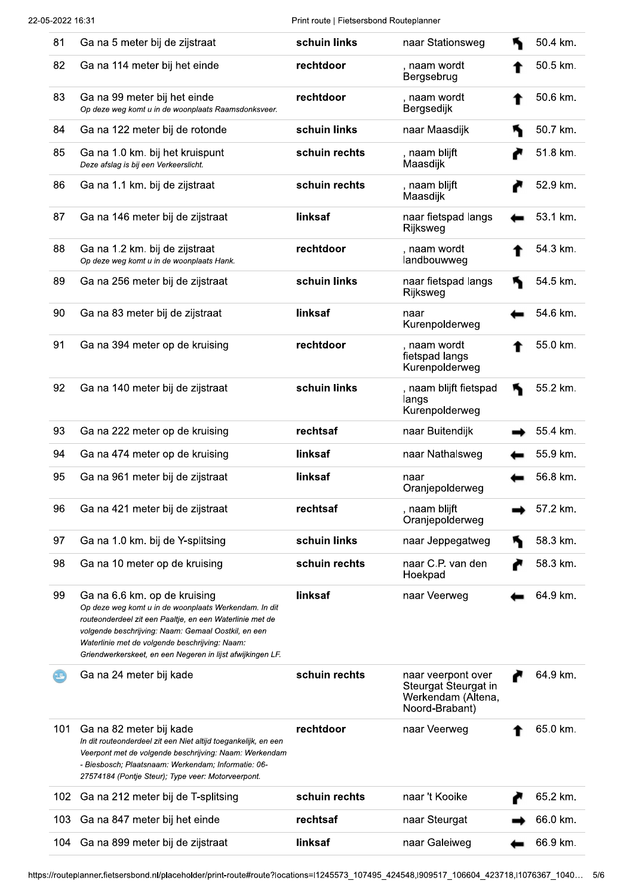Print route | Fietsersbond Routeplanner

| 81  | Ga na 5 meter bij de zijstraat                                                                                                                                                                                                                                                                                           | schuin links  | naar Stationsweg                                                                   | 50.4 km. |
|-----|--------------------------------------------------------------------------------------------------------------------------------------------------------------------------------------------------------------------------------------------------------------------------------------------------------------------------|---------------|------------------------------------------------------------------------------------|----------|
| 82  | Ga na 114 meter bij het einde                                                                                                                                                                                                                                                                                            | rechtdoor     | , naam wordt<br>Bergsebrug                                                         | 50.5 km. |
| 83  | Ga na 99 meter bij het einde<br>Op deze weg komt u in de woonplaats Raamsdonksveer.                                                                                                                                                                                                                                      | rechtdoor     | , naam wordt<br>Bergsedijk                                                         | 50.6 km. |
| 84  | Ga na 122 meter bij de rotonde                                                                                                                                                                                                                                                                                           | schuin links  | naar Maasdijk                                                                      | 50.7 km. |
| 85  | Ga na 1.0 km. bij het kruispunt<br>Deze afslag is bij een Verkeerslicht.                                                                                                                                                                                                                                                 | schuin rechts | , naam blijft<br>Maasdijk                                                          | 51.8 km. |
| 86  | Ga na 1.1 km. bij de zijstraat                                                                                                                                                                                                                                                                                           | schuin rechts | , naam blijft<br>Maasdijk                                                          | 52.9 km. |
| 87  | Ga na 146 meter bij de zijstraat                                                                                                                                                                                                                                                                                         | linksaf       | naar fietspad langs<br>Rijksweg                                                    | 53.1 km. |
| 88  | Ga na 1.2 km. bij de zijstraat<br>Op deze weg komt u in de woonplaats Hank.                                                                                                                                                                                                                                              | rechtdoor     | , naam wordt<br>landbouwweg                                                        | 54.3 km. |
| 89  | Ga na 256 meter bij de zijstraat                                                                                                                                                                                                                                                                                         | schuin links  | naar fietspad langs<br>Rijksweg                                                    | 54.5 km. |
| 90  | Ga na 83 meter bij de zijstraat                                                                                                                                                                                                                                                                                          | linksaf       | naar<br>Kurenpolderweg                                                             | 54.6 km. |
| 91  | Ga na 394 meter op de kruising                                                                                                                                                                                                                                                                                           | rechtdoor     | , naam wordt<br>fietspad langs<br>Kurenpolderweg                                   | 55.0 km. |
| 92  | Ga na 140 meter bij de zijstraat                                                                                                                                                                                                                                                                                         | schuin links  | , naam blijft fietspad<br>langs<br>Kurenpolderweg                                  | 55.2 km. |
| 93  | Ga na 222 meter op de kruising                                                                                                                                                                                                                                                                                           | rechtsaf      | naar Buitendijk                                                                    | 55.4 km. |
| 94  | Ga na 474 meter op de kruising                                                                                                                                                                                                                                                                                           | linksaf       | naar Nathalsweg                                                                    | 55.9 km. |
| 95  | Ga na 961 meter bij de zijstraat                                                                                                                                                                                                                                                                                         | linksaf       | naar<br>Oranjepolderweg                                                            | 56.8 km. |
| 96  | Ga na 421 meter bij de zijstraat                                                                                                                                                                                                                                                                                         | rechtsaf      | , naam blijft<br>Oranjepolderweg                                                   | 57.2 km. |
| 97  | Ga na 1.0 km. bij de Y-splitsing                                                                                                                                                                                                                                                                                         | schuin links  | naar Jeppegatweg                                                                   | 58.3 km. |
| 98  | Ga na 10 meter op de kruising                                                                                                                                                                                                                                                                                            | schuin rechts | naar C.P. van den<br>Hoekpad                                                       | 58.3 km. |
| 99  | Ga na 6.6 km. op de kruising<br>Op deze weg komt u in de woonplaats Werkendam. In dit<br>routeonderdeel zit een Paaltje, en een Waterlinie met de<br>volgende beschrijving: Naam: Gemaal Oostkil, en een<br>Waterlinie met de volgende beschrijving: Naam:<br>Griendwerkerskeet, en een Negeren in lijst afwijkingen LF. | linksaf       | naar Veerweg                                                                       | 64.9 km. |
|     | Ga na 24 meter bij kade                                                                                                                                                                                                                                                                                                  | schuin rechts | naar veerpont over<br>Steurgat Steurgat in<br>Werkendam (Altena,<br>Noord-Brabant) | 64.9 km. |
| 101 | Ga na 82 meter bij kade<br>In dit routeonderdeel zit een Niet altijd toegankelijk, en een<br>Veerpont met de volgende beschrijving: Naam: Werkendam<br>- Biesbosch; Plaatsnaam: Werkendam; Informatie: 06-<br>27574184 (Pontje Steur); Type veer: Motorveerpont.                                                         | rechtdoor     | naar Veerweg                                                                       | 65.0 km. |
| 102 | Ga na 212 meter bij de T-splitsing                                                                                                                                                                                                                                                                                       | schuin rechts | naar 't Kooike                                                                     | 65.2 km. |
| 103 | Ga na 847 meter bij het einde                                                                                                                                                                                                                                                                                            | rechtsaf      | naar Steurgat                                                                      | 66.0 km. |
| 104 | Ga na 899 meter bij de zijstraat                                                                                                                                                                                                                                                                                         | linksaf       | naar Galeiweg                                                                      | 66.9 km. |